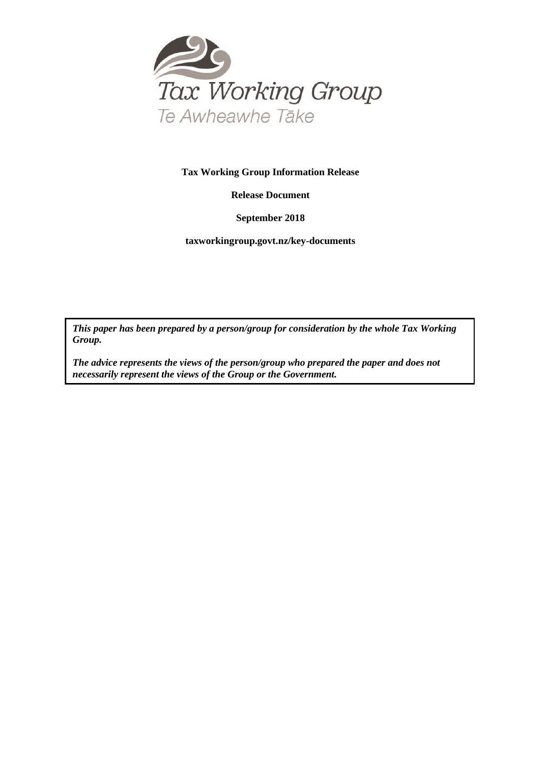

#### **Tax Working Group Information Release**

**Release Document**

**September 2018**

**taxworkingroup.govt.nz/key-documents**

*This paper has been prepared by a person/group for consideration by the whole Tax Working Group.*

*The advice represents the views of the person/group who prepared the paper and does not necessarily represent the views of the Group or the Government.*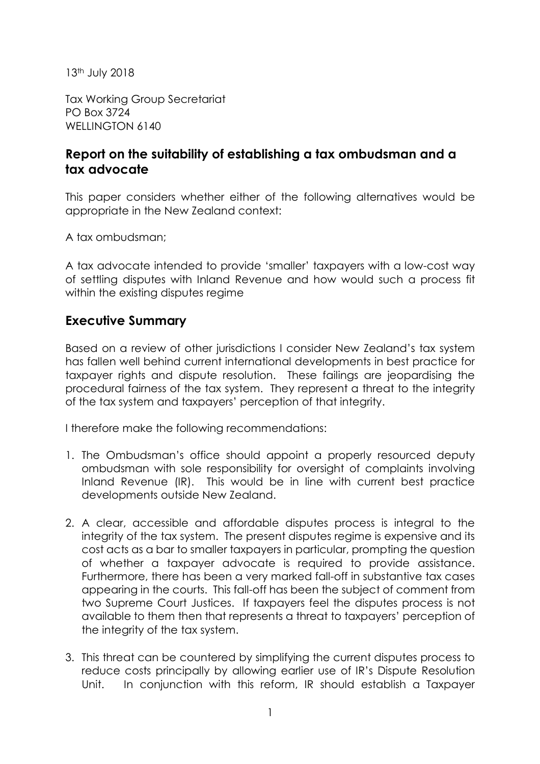13th July 2018

Tax Working Group Secretariat PO Box 3724 WELLINGTON 6140

# **Report on the suitability of establishing a tax ombudsman and a tax advocate**

This paper considers whether either of the following alternatives would be appropriate in the New Zealand context:

A tax ombudsman;

A tax advocate intended to provide 'smaller' taxpayers with a low-cost way of settling disputes with Inland Revenue and how would such a process fit within the existing disputes regime

## **Executive Summary**

Based on a review of other jurisdictions I consider New Zealand's tax system has fallen well behind current international developments in best practice for taxpayer rights and dispute resolution. These failings are jeopardising the procedural fairness of the tax system. They represent a threat to the integrity of the tax system and taxpayers' perception of that integrity.

I therefore make the following recommendations:

- 1. The Ombudsman's office should appoint a properly resourced deputy ombudsman with sole responsibility for oversight of complaints involving Inland Revenue (IR). This would be in line with current best practice developments outside New Zealand.
- 2. A clear, accessible and affordable disputes process is integral to the integrity of the tax system. The present disputes regime is expensive and its cost acts as a bar to smaller taxpayers in particular, prompting the question of whether a taxpayer advocate is required to provide assistance. Furthermore, there has been a very marked fall-off in substantive tax cases appearing in the courts. This fall-off has been the subject of comment from two Supreme Court Justices. If taxpayers feel the disputes process is not available to them then that represents a threat to taxpayers' perception of the integrity of the tax system.
- 3. This threat can be countered by simplifying the current disputes process to reduce costs principally by allowing earlier use of IR's Dispute Resolution Unit. In conjunction with this reform, IR should establish a Taxpayer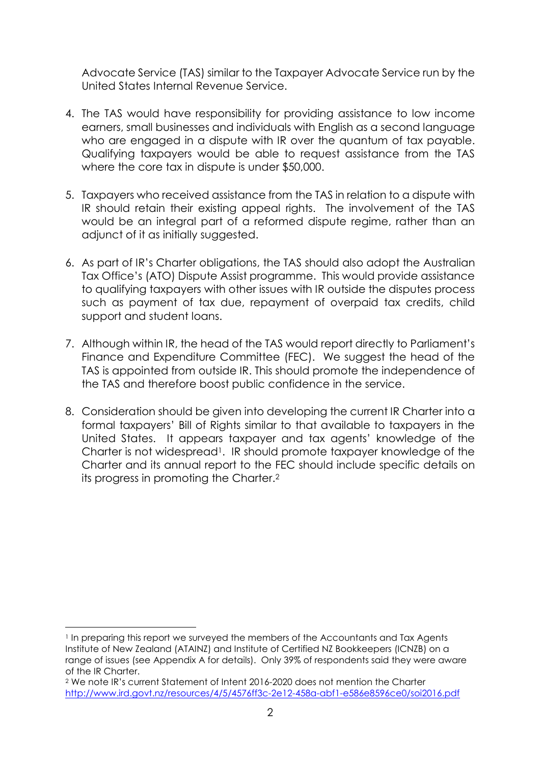Advocate Service (TAS) similar to the Taxpayer Advocate Service run by the United States Internal Revenue Service.

- 4. The TAS would have responsibility for providing assistance to low income earners, small businesses and individuals with English as a second language who are engaged in a dispute with IR over the quantum of tax payable. Qualifying taxpayers would be able to request assistance from the TAS where the core tax in dispute is under \$50,000.
- 5. Taxpayers who received assistance from the TAS in relation to a dispute with IR should retain their existing appeal rights. The involvement of the TAS would be an integral part of a reformed dispute regime, rather than an adjunct of it as initially suggested.
- 6. As part of IR's Charter obligations, the TAS should also adopt the Australian Tax Office's (ATO) Dispute Assist programme. This would provide assistance to qualifying taxpayers with other issues with IR outside the disputes process such as payment of tax due, repayment of overpaid tax credits, child support and student loans.
- 7. Although within IR, the head of the TAS would report directly to Parliament's Finance and Expenditure Committee (FEC). We suggest the head of the TAS is appointed from outside IR. This should promote the independence of the TAS and therefore boost public confidence in the service.
- 8. Consideration should be given into developing the current IR Charter into a formal taxpayers' Bill of Rights similar to that available to taxpayers in the United States. It appears taxpayer and tax agents' knowledge of the Charter is not widespread<sup>1</sup>. IR should promote taxpayer knowledge of the Charter and its annual report to the FEC should include specific details on its progress in promoting the Charter.2

l

<sup>1</sup> In preparing this report we surveyed the members of the Accountants and Tax Agents Institute of New Zealand (ATAINZ) and Institute of Certified NZ Bookkeepers (ICNZB) on a range of issues (see Appendix A for details). Only 39% of respondents said they were aware of the IR Charter.

<sup>2</sup> We note IR's current Statement of Intent 2016-2020 does not mention the Charter http://www.ird.govt.nz/resources/4/5/4576ff3c-2e12-458a-abf1-e586e8596ce0/soi2016.pdf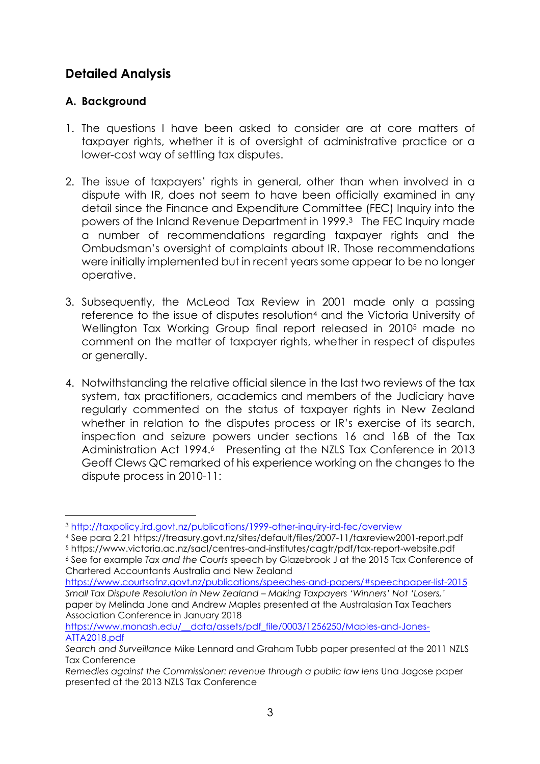# **Detailed Analysis**

### **A. Background**

 $\overline{a}$ 

- 1. The questions I have been asked to consider are at core matters of taxpayer rights, whether it is of oversight of administrative practice or a lower-cost way of settling tax disputes.
- 2. The issue of taxpayers' rights in general, other than when involved in a dispute with IR, does not seem to have been officially examined in any detail since the Finance and Expenditure Committee (FEC) Inquiry into the powers of the Inland Revenue Department in 1999.3 The FEC Inquiry made a number of recommendations regarding taxpayer rights and the Ombudsman's oversight of complaints about IR. Those recommendations were initially implemented but in recent years some appear to be no longer operative.
- 3. Subsequently, the McLeod Tax Review in 2001 made only a passing reference to the issue of disputes resolution4 and the Victoria University of Wellington Tax Working Group final report released in 20105 made no comment on the matter of taxpayer rights, whether in respect of disputes or generally.
- 4. Notwithstanding the relative official silence in the last two reviews of the tax system, tax practitioners, academics and members of the Judiciary have regularly commented on the status of taxpayer rights in New Zealand whether in relation to the disputes process or IR's exercise of its search, inspection and seizure powers under sections 16 and 16B of the Tax Administration Act 1994.<sup>6</sup> Presenting at the NZLS Tax Conference in 2013 Geoff Clews QC remarked of his experience working on the changes to the dispute process in 2010-11:

https://www.monash.edu/\_\_data/assets/pdf\_file/0003/1256250/Maples-and-Jones-ATTA2018.pdf

<sup>&</sup>lt;sup>3</sup> http://taxpolicy.ird.govt.nz/publications/1999-other-inquiry-ird-fec/overview<br>4 See para 2.21 https://treasury.govt.nz/sites/default/files/2007-11/taxreview2001-report.pdf

<sup>5</sup> https://www.victoria.ac.nz/sacl/centres-and-institutes/cagtr/pdf/tax-report-website.pdf 6 See for example *Tax and the Courts* speech by Glazebrook J at the 2015 Tax Conference of Chartered Accountants Australia and New Zealand

https://www.courtsofnz.govt.nz/publications/speeches-and-papers/#speechpaper-list-2015 *Small Tax Dispute Resolution in New Zealand – Making Taxpayers 'Winners' Not 'Losers,'* paper by Melinda Jone and Andrew Maples presented at the Australasian Tax Teachers Association Conference in January 2018

*Search and Surveillance* Mike Lennard and Graham Tubb paper presented at the 2011 NZLS Tax Conference

*Remedies against the Commissioner: revenue through a public law lens* Una Jagose paper presented at the 2013 NZLS Tax Conference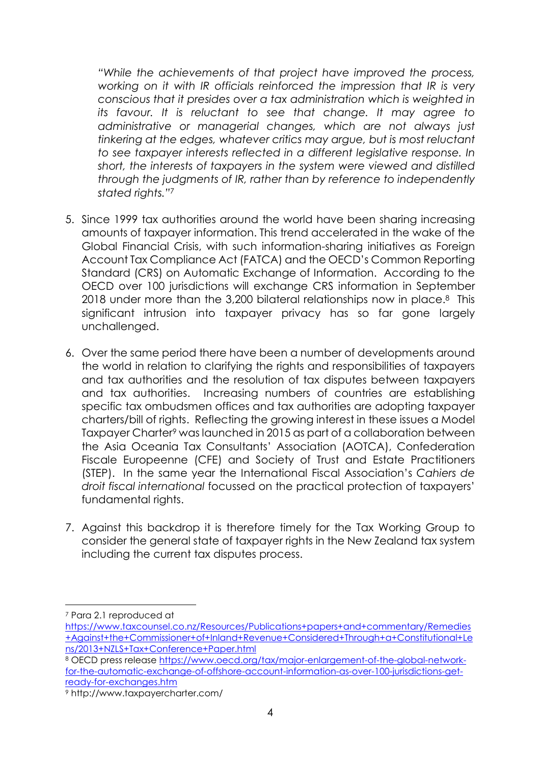*"While the achievements of that project have improved the process, working on it with IR officials reinforced the impression that IR is very conscious that it presides over a tax administration which is weighted in its favour. It is reluctant to see that change. It may agree to administrative or managerial changes, which are not always just tinkering at the edges, whatever critics may argue, but is most reluctant to see taxpayer interests reflected in a different legislative response. In short, the interests of taxpayers in the system were viewed and distilled through the judgments of IR, rather than by reference to independently stated rights."*<sup>7</sup>

- 5. Since 1999 tax authorities around the world have been sharing increasing amounts of taxpayer information. This trend accelerated in the wake of the Global Financial Crisis, with such information-sharing initiatives as Foreign Account Tax Compliance Act (FATCA) and the OECD's Common Reporting Standard (CRS) on Automatic Exchange of Information. According to the OECD over 100 jurisdictions will exchange CRS information in September 2018 under more than the 3,200 bilateral relationships now in place.<sup>8</sup> This significant intrusion into taxpayer privacy has so far gone largely unchallenged.
- 6. Over the same period there have been a number of developments around the world in relation to clarifying the rights and responsibilities of taxpayers and tax authorities and the resolution of tax disputes between taxpayers and tax authorities. Increasing numbers of countries are establishing specific tax ombudsmen offices and tax authorities are adopting taxpayer charters/bill of rights. Reflecting the growing interest in these issues a Model Taxpayer Charter<sup>9</sup> was launched in 2015 as part of a collaboration between the Asia Oceania Tax Consultants' Association (AOTCA), Confederation Fiscale Europeenne (CFE) and Society of Trust and Estate Practitioners (STEP). In the same year the International Fiscal Association's *Cahiers de droit fiscal international* focussed on the practical protection of taxpayers' fundamental rights.
- 7. Against this backdrop it is therefore timely for the Tax Working Group to consider the general state of taxpayer rights in the New Zealand tax system including the current tax disputes process.

<sup>7</sup> Para 2.1 reproduced at

https://www.taxcounsel.co.nz/Resources/Publications+papers+and+commentary/Remedies +Against+the+Commissioner+of+Inland+Revenue+Considered+Through+a+Constitutional+Le ns/2013+NZLS+Tax+Conference+Paper.html

<sup>&</sup>lt;sup>8</sup> OECD press release https://www.oecd.org/tax/major-enlargement-of-the-global-networkfor-the-automatic-exchange-of-offshore-account-information-as-over-100-jurisdictions-getready-for-exchanges.htm 9 http://www.taxpayercharter.com/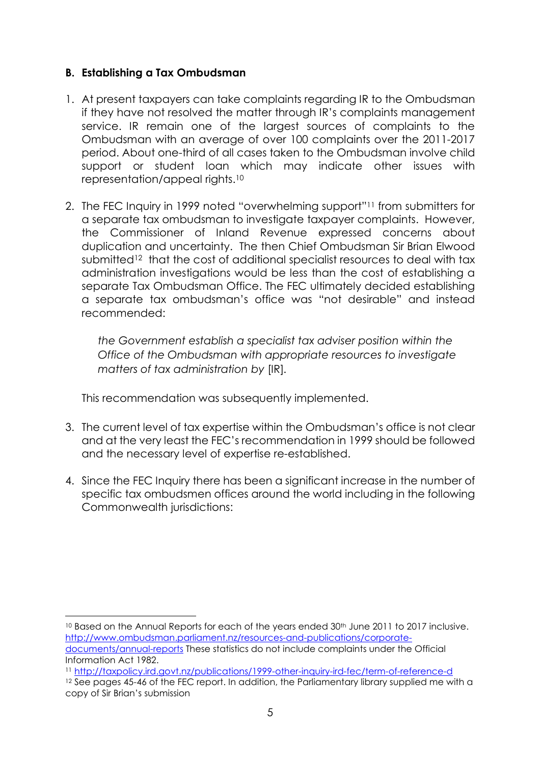#### **B. Establishing a Tax Ombudsman**

 $\overline{a}$ 

- 1. At present taxpayers can take complaints regarding IR to the Ombudsman if they have not resolved the matter through IR's complaints management service. IR remain one of the largest sources of complaints to the Ombudsman with an average of over 100 complaints over the 2011-2017 period. About one-third of all cases taken to the Ombudsman involve child support or student loan which may indicate other issues with representation/appeal rights.10
- 2. The FEC Inquiry in 1999 noted "overwhelming support"11 from submitters for a separate tax ombudsman to investigate taxpayer complaints. However, the Commissioner of Inland Revenue expressed concerns about duplication and uncertainty. The then Chief Ombudsman Sir Brian Elwood submitted<sup>12</sup> that the cost of additional specialist resources to deal with tax administration investigations would be less than the cost of establishing a separate Tax Ombudsman Office. The FEC ultimately decided establishing a separate tax ombudsman's office was "not desirable" and instead recommended:

*the Government establish a specialist tax adviser position within the Office of the Ombudsman with appropriate resources to investigate matters of tax administration by* [IR]*.* 

This recommendation was subsequently implemented.

- 3. The current level of tax expertise within the Ombudsman's office is not clear and at the very least the FEC's recommendation in 1999 should be followed and the necessary level of expertise re-established.
- 4. Since the FEC Inquiry there has been a significant increase in the number of specific tax ombudsmen offices around the world including in the following Commonwealth jurisdictions:

<sup>&</sup>lt;sup>10</sup> Based on the Annual Reports for each of the years ended 30<sup>th</sup> June 2011 to 2017 inclusive. http://www.ombudsman.parliament.nz/resources-and-publications/corporatedocuments/annual-reports These statistics do not include complaints under the Official

Information Act 1982.<br>11 http://taxpolicy.ird.govt.nz/publications/1999-other-inquiry-ird-fec/term-of-reference-d

 $12$  See pages 45-46 of the FEC report. In addition, the Parliamentary library supplied me with a copy of Sir Brian's submission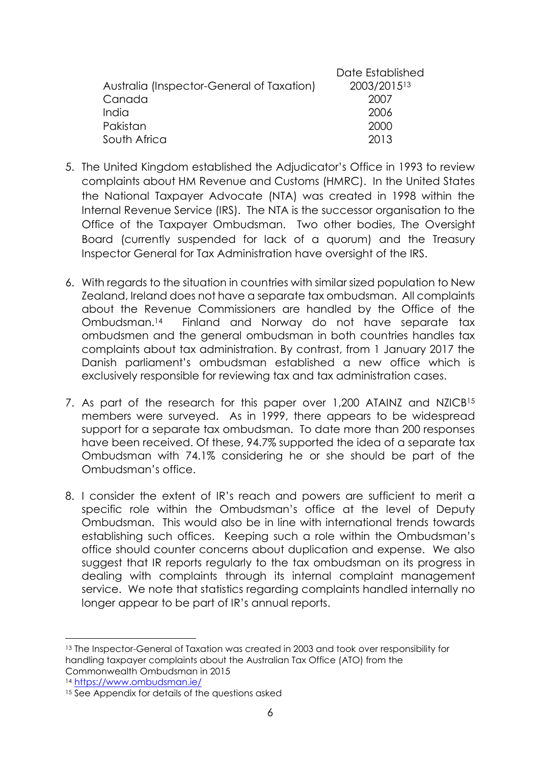| Date Established |
|------------------|
| 2003/201513      |
| 2007             |
| 2006             |
| 2000             |
| 2013             |
|                  |

- 5. The United Kingdom established the Adjudicator's Office in 1993 to review complaints about HM Revenue and Customs (HMRC). In the United States the National Taxpayer Advocate (NTA) was created in 1998 within the Internal Revenue Service (IRS). The NTA is the successor organisation to the Office of the Taxpayer Ombudsman. Two other bodies, The Oversight Board (currently suspended for lack of a quorum) and the Treasury Inspector General for Tax Administration have oversight of the IRS.
- 6. With regards to the situation in countries with similar sized population to New Zealand, Ireland does not have a separate tax ombudsman. All complaints about the Revenue Commissioners are handled by the Office of the Ombudsman.14 Finland and Norway do not have separate tax ombudsmen and the general ombudsman in both countries handles tax complaints about tax administration. By contrast, from 1 January 2017 the Danish parliament's ombudsman established a new office which is exclusively responsible for reviewing tax and tax administration cases.
- 7. As part of the research for this paper over 1,200 ATAINZ and NZICB<sup>15</sup> members were surveyed. As in 1999, there appears to be widespread support for a separate tax ombudsman. To date more than 200 responses have been received. Of these, 94.7% supported the idea of a separate tax Ombudsman with 74.1% considering he or she should be part of the Ombudsman's office.
- 8. I consider the extent of IR's reach and powers are sufficient to merit a specific role within the Ombudsman's office at the level of Deputy Ombudsman. This would also be in line with international trends towards establishing such offices. Keeping such a role within the Ombudsman's office should counter concerns about duplication and expense. We also suggest that IR reports regularly to the tax ombudsman on its progress in dealing with complaints through its internal complaint management service. We note that statistics regarding complaints handled internally no longer appear to be part of IR's annual reports.

<sup>13</sup> The Inspector-General of Taxation was created in 2003 and took over responsibility for handling taxpayer complaints about the Australian Tax Office (ATO) from the Commonwealth Ombudsman in 2015

<sup>&</sup>lt;sup>14</sup> https://www.ombudsman.ie/<br><sup>15</sup> See Appendix for details of the questions asked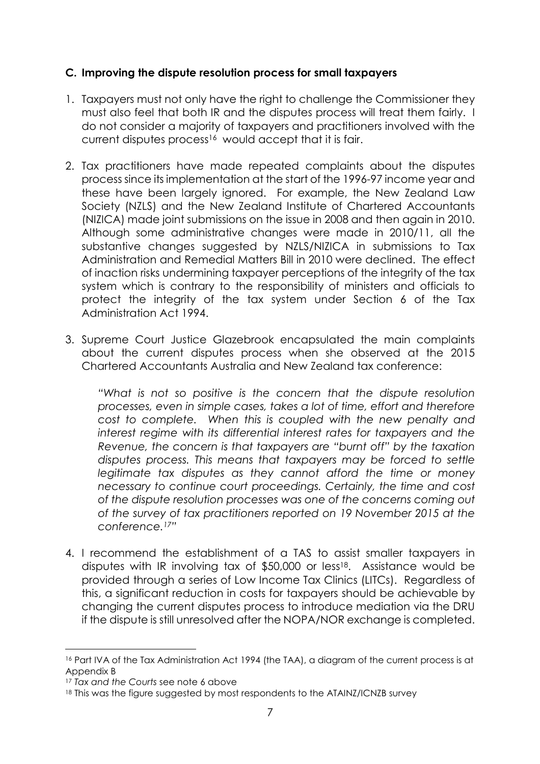#### **C. Improving the dispute resolution process for small taxpayers**

- 1. Taxpayers must not only have the right to challenge the Commissioner they must also feel that both IR and the disputes process will treat them fairly. I do not consider a majority of taxpayers and practitioners involved with the current disputes process<sup>16</sup> would accept that it is fair.
- 2. Tax practitioners have made repeated complaints about the disputes process since its implementation at the start of the 1996-97 income year and these have been largely ignored. For example, the New Zealand Law Society (NZLS) and the New Zealand Institute of Chartered Accountants (NIZICA) made joint submissions on the issue in 2008 and then again in 2010. Although some administrative changes were made in 2010/11, all the substantive changes suggested by NZLS/NIZICA in submissions to Tax Administration and Remedial Matters Bill in 2010 were declined. The effect of inaction risks undermining taxpayer perceptions of the integrity of the tax system which is contrary to the responsibility of ministers and officials to protect the integrity of the tax system under Section 6 of the Tax Administration Act 1994.
- 3. Supreme Court Justice Glazebrook encapsulated the main complaints about the current disputes process when she observed at the 2015 Chartered Accountants Australia and New Zealand tax conference:

*"What is not so positive is the concern that the dispute resolution processes, even in simple cases, takes a lot of time, effort and therefore cost to complete. When this is coupled with the new penalty and interest regime with its differential interest rates for taxpayers and the Revenue, the concern is that taxpayers are "burnt off" by the taxation disputes process. This means that taxpayers may be forced to settle legitimate tax disputes as they cannot afford the time or money necessary to continue court proceedings. Certainly, the time and cost of the dispute resolution processes was one of the concerns coming out of the survey of tax practitioners reported on 19 November 2015 at the conference.17"* 

4. I recommend the establishment of a TAS to assist smaller taxpayers in disputes with IR involving tax of \$50,000 or less18. Assistance would be provided through a series of Low Income Tax Clinics (LITCs). Regardless of this, a significant reduction in costs for taxpayers should be achievable by changing the current disputes process to introduce mediation via the DRU if the dispute is still unresolved after the NOPA/NOR exchange is completed.

<sup>&</sup>lt;sup>16</sup> Part IVA of the Tax Administration Act 1994 (the TAA), a diagram of the current process is at Appendix B

<sup>17</sup> *Tax and the Courts* see note 6 above

<sup>18</sup> This was the figure suggested by most respondents to the ATAINZ/ICNZB survey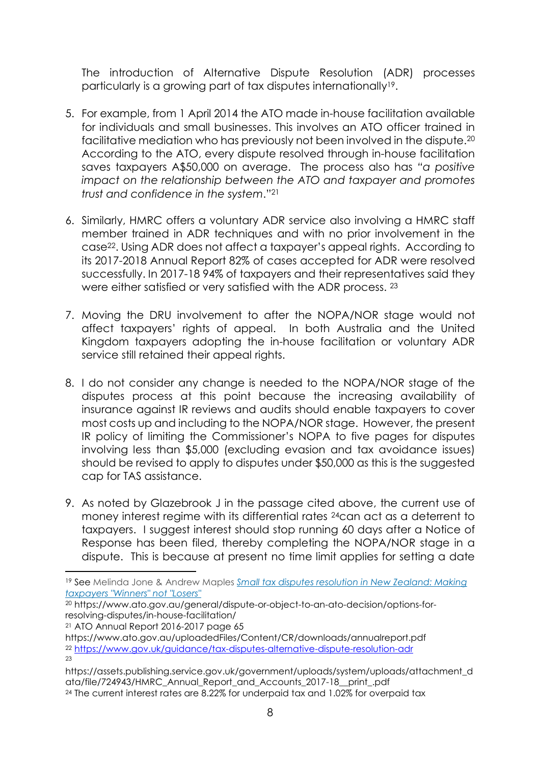The introduction of Alternative Dispute Resolution (ADR) processes particularly is a growing part of tax disputes internationally19.

- 5. For example, from 1 April 2014 the ATO made in-house facilitation available for individuals and small businesses. This involves an ATO officer trained in facilitative mediation who has previously not been involved in the dispute.20 According to the ATO, every dispute resolved through in-house facilitation saves taxpayers A\$50,000 on average. The process also has *"a positive impact on the relationship between the ATO and taxpayer and promotes trust and confidence in the system*."21
- 6. Similarly, HMRC offers a voluntary ADR service also involving a HMRC staff member trained in ADR techniques and with no prior involvement in the case22. Using ADR does not affect a taxpayer's appeal rights. According to its 2017-2018 Annual Report 82% of cases accepted for ADR were resolved successfully. In 2017-18 94% of taxpayers and their representatives said they were either satisfied or very satisfied with the ADR process. 23
- 7. Moving the DRU involvement to after the NOPA/NOR stage would not affect taxpayers' rights of appeal. In both Australia and the United Kingdom taxpayers adopting the in-house facilitation or voluntary ADR service still retained their appeal rights.
- 8. I do not consider any change is needed to the NOPA/NOR stage of the disputes process at this point because the increasing availability of insurance against IR reviews and audits should enable taxpayers to cover most costs up and including to the NOPA/NOR stage. However, the present IR policy of limiting the Commissioner's NOPA to five pages for disputes involving less than \$5,000 (excluding evasion and tax avoidance issues) should be revised to apply to disputes under \$50,000 as this is the suggested cap for TAS assistance.
- 9. As noted by Glazebrook J in the passage cited above, the current use of money interest regime with its differential rates 24can act as a deterrent to taxpayers. I suggest interest should stop running 60 days after a Notice of Response has been filed, thereby completing the NOPA/NOR stage in a dispute. This is because at present no time limit applies for setting a date

21 ATO Annual Report 2016-2017 page 65

<sup>19</sup> See Melinda Jone & Andrew Maples *Small tax disputes resolution in New Zealand: Making taxpayers "Winners" not "Losers"*

<sup>20</sup> https://www.ato.gov.au/general/dispute-or-object-to-an-ato-decision/options-forresolving-disputes/in-house-facilitation/

https://www.ato.gov.au/uploadedFiles/Content/CR/downloads/annualreport.pdf <sup>22</sup> https://www.gov.uk/guidance/tax-disputes-alternative-dispute-resolution-adr 23

https://assets.publishing.service.gov.uk/government/uploads/system/uploads/attachment\_d ata/file/724943/HMRC\_Annual\_Report\_and\_Accounts\_2017-18\_\_print\_.pdf 24 The current interest rates are 8.22% for underpaid tax and 1.02% for overpaid tax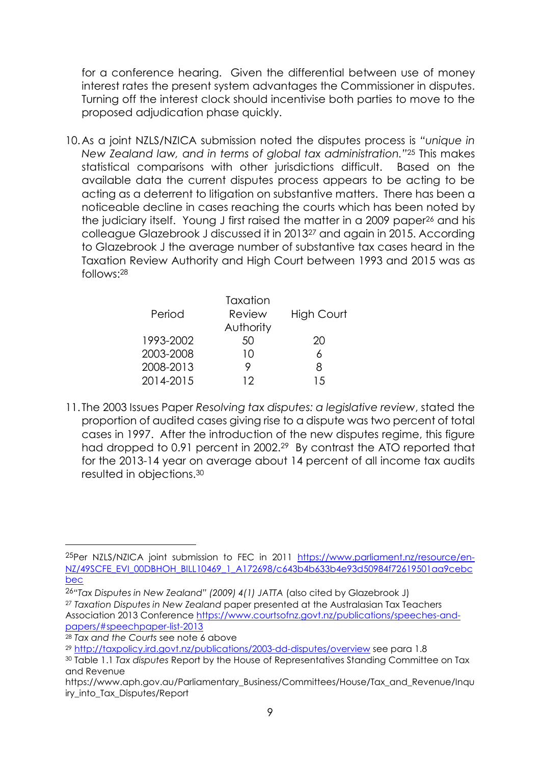for a conference hearing. Given the differential between use of money interest rates the present system advantages the Commissioner in disputes. Turning off the interest clock should incentivise both parties to move to the proposed adjudication phase quickly.

10.As a joint NZLS/NZICA submission noted the disputes process is *"unique in New Zealand law, and in terms of global tax administration."*25 This makes statistical comparisons with other jurisdictions difficult. Based on the available data the current disputes process appears to be acting to be acting as a deterrent to litigation on substantive matters. There has been a noticeable decline in cases reaching the courts which has been noted by the judiciary itself. Young J first raised the matter in a 2009 paper26 and his colleague Glazebrook J discussed it in 201327 and again in 2015. According to Glazebrook J the average number of substantive tax cases heard in the Taxation Review Authority and High Court between 1993 and 2015 was as follows:28

| Period    | Taxation<br>Review | <b>High Court</b> |
|-----------|--------------------|-------------------|
|           | Authority          |                   |
| 1993-2002 | 50                 | 20                |
| 2003-2008 | 10                 | ႓                 |
| 2008-2013 |                    | 8                 |
| 2014-2015 | 12                 | 15                |
|           |                    |                   |

11. The 2003 Issues Paper *Resolving tax disputes: a legislative review*, stated the proportion of audited cases giving rise to a dispute was two percent of total cases in 1997. After the introduction of the new disputes regime, this figure had dropped to 0.91 percent in 2002.<sup>29</sup> By contrast the ATO reported that for the 2013-14 year on average about 14 percent of all income tax audits resulted in objections.30

l

<sup>25</sup>Per NZLS/NZICA joint submission to FEC in 2011 https://www.parliament.nz/resource/en-NZ/49SCFE\_EVI\_00DBHOH\_BILL10469\_1\_A172698/c643b4b633b4e93d50984f72619501aa9cebc bec 26*"Tax Disputes in New Zealand" (2009) 4(1) JATTA* (also cited by Glazebrook J)

<sup>27</sup> *Taxation Disputes in New Zealand* paper presented at the Australasian Tax Teachers Association 2013 Conference https://www.courtsofnz.govt.nz/publications/speeches-andpapers/#speechpaper-list-2013 28 *Tax and the Courts* see note 6 above

<sup>29</sup> http://taxpolicy.ird.govt.nz/publications/2003-dd-disputes/overview see para 1.8

<sup>30</sup> Table 1.1 *Tax disputes* Report by the House of Representatives Standing Committee on Tax and Revenue

https://www.aph.gov.au/Parliamentary\_Business/Committees/House/Tax\_and\_Revenue/Inqu iry\_into\_Tax\_Disputes/Report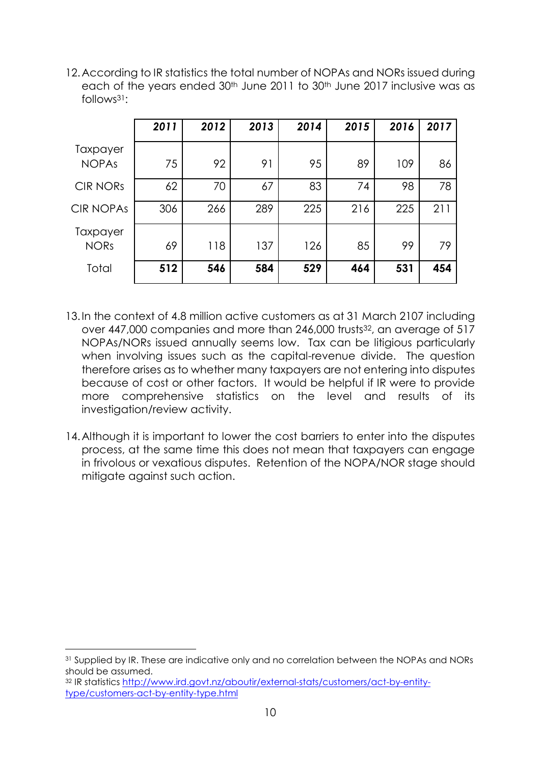12.According to IR statistics the total number of NOPAs and NORs issued during each of the years ended 30<sup>th</sup> June 2011 to 30<sup>th</sup> June 2017 inclusive was as follows31:

|                          | 2011 | 2012 | 2013 | 2014 | 2015 | 2016 | 2017 |
|--------------------------|------|------|------|------|------|------|------|
| Taxpayer<br><b>NOPAs</b> | 75   | 92   | 91   | 95   | 89   | 109  | 86   |
| <b>CIR NORS</b>          | 62   | 70   | 67   | 83   | 74   | 98   | 78   |
| <b>CIR NOPAS</b>         | 306  | 266  | 289  | 225  | 216  | 225  | 211  |
| Taxpayer<br><b>NORs</b>  | 69   | 118  | 137  | 126  | 85   | 99   | 79   |
| Total                    | 512  | 546  | 584  | 529  | 464  | 531  | 454  |

- 13.In the context of 4.8 million active customers as at 31 March 2107 including over 447,000 companies and more than 246,000 trusts<sup>32</sup>, an average of 517 NOPAs/NORs issued annually seems low. Tax can be litigious particularly when involving issues such as the capital-revenue divide. The question therefore arises as to whether many taxpayers are not entering into disputes because of cost or other factors. It would be helpful if IR were to provide more comprehensive statistics on the level and results of its investigation/review activity.
- 14. Although it is important to lower the cost barriers to enter into the disputes process, at the same time this does not mean that taxpayers can engage in frivolous or vexatious disputes. Retention of the NOPA/NOR stage should mitigate against such action.

<sup>31</sup> Supplied by IR. These are indicative only and no correlation between the NOPAs and NORs should be assumed.

<sup>32</sup> IR statistics http://www.ird.govt.nz/aboutir/external-stats/customers/act-by-entitytype/customers-act-by-entity-type.html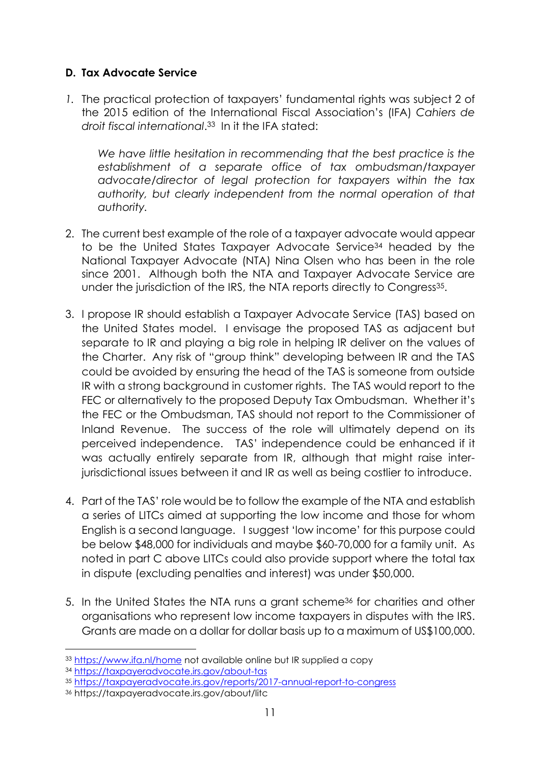#### **D. Tax Advocate Service**

*1.* The practical protection of taxpayers' fundamental rights was subject 2 of the 2015 edition of the International Fiscal Association's (IFA) *Cahiers de droit fiscal international*.33 In it the IFA stated:

*We have little hesitation in recommending that the best practice is the establishment of a separate office of tax ombudsman/taxpayer advocate/director of legal protection for taxpayers within the tax authority, but clearly independent from the normal operation of that authority.* 

- 2. The current best example of the role of a taxpayer advocate would appear to be the United States Taxpayer Advocate Service34 headed by the National Taxpayer Advocate (NTA) Nina Olsen who has been in the role since 2001. Although both the NTA and Taxpayer Advocate Service are under the jurisdiction of the IRS, the NTA reports directly to Congress<sup>35</sup>.
- 3. I propose IR should establish a Taxpayer Advocate Service (TAS) based on the United States model. I envisage the proposed TAS as adjacent but separate to IR and playing a big role in helping IR deliver on the values of the Charter. Any risk of "group think" developing between IR and the TAS could be avoided by ensuring the head of the TAS is someone from outside IR with a strong background in customer rights. The TAS would report to the FEC or alternatively to the proposed Deputy Tax Ombudsman. Whether it's the FEC or the Ombudsman, TAS should not report to the Commissioner of Inland Revenue. The success of the role will ultimately depend on its perceived independence. TAS' independence could be enhanced if it was actually entirely separate from IR, although that might raise interjurisdictional issues between it and IR as well as being costlier to introduce.
- 4. Part of the TAS' role would be to follow the example of the NTA and establish a series of LITCs aimed at supporting the low income and those for whom English is a second language. I suggest 'low income' for this purpose could be below \$48,000 for individuals and maybe \$60-70,000 for a family unit. As noted in part C above LITCs could also provide support where the total tax in dispute (excluding penalties and interest) was under \$50,000.
- 5. In the United States the NTA runs a grant scheme36 for charities and other organisations who represent low income taxpayers in disputes with the IRS. Grants are made on a dollar for dollar basis up to a maximum of US\$100,000.

<sup>33</sup> https://www.ifa.nl/home not available online but IR supplied a copy

<sup>34</sup> https://taxpayeradvocate.irs.gov/about-tas

<sup>35</sup> https://taxpayeradvocate.irs.gov/reports/2017-annual-report-to-congress 36 https://taxpayeradvocate.irs.gov/about/litc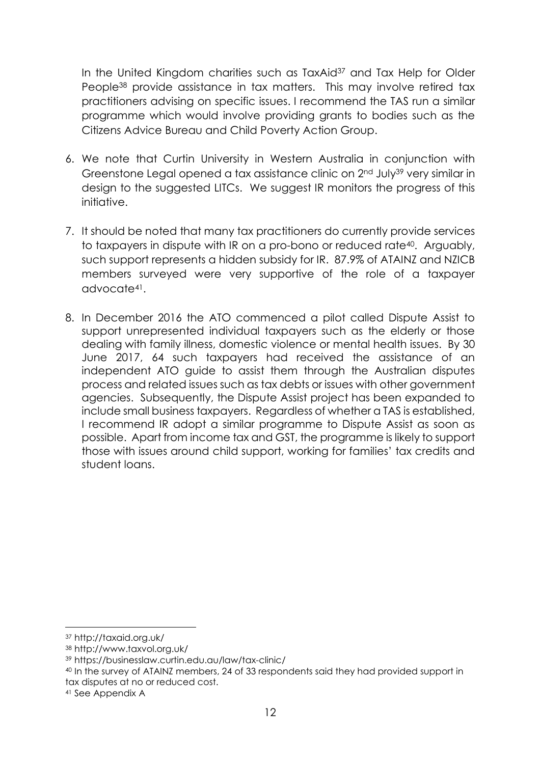In the United Kingdom charities such as TaxAid<sup>37</sup> and Tax Help for Older People38 provide assistance in tax matters. This may involve retired tax practitioners advising on specific issues. I recommend the TAS run a similar programme which would involve providing grants to bodies such as the Citizens Advice Bureau and Child Poverty Action Group.

- 6. We note that Curtin University in Western Australia in conjunction with Greenstone Legal opened a tax assistance clinic on 2<sup>nd</sup> July<sup>39</sup> very similar in design to the suggested LITCs. We suggest IR monitors the progress of this initiative.
- 7. It should be noted that many tax practitioners do currently provide services to taxpayers in dispute with IR on a pro-bono or reduced rate40. Arguably, such support represents a hidden subsidy for IR. 87.9% of ATAINZ and NZICB members surveyed were very supportive of the role of a taxpayer advocate41.
- 8. In December 2016 the ATO commenced a pilot called Dispute Assist to support unrepresented individual taxpayers such as the elderly or those dealing with family illness, domestic violence or mental health issues. By 30 June 2017, 64 such taxpayers had received the assistance of an independent ATO guide to assist them through the Australian disputes process and related issues such as tax debts or issues with other government agencies. Subsequently, the Dispute Assist project has been expanded to include small business taxpayers. Regardless of whether a TAS is established, I recommend IR adopt a similar programme to Dispute Assist as soon as possible. Apart from income tax and GST, the programme is likely to support those with issues around child support, working for families' tax credits and student loans.

l

<sup>37</sup> http://taxaid.org.uk/

<sup>38</sup> http://www.taxvol.org.uk/

<sup>39</sup> https://businesslaw.curtin.edu.au/law/tax-clinic/

<sup>40</sup> In the survey of ATAINZ members, 24 of 33 respondents said they had provided support in tax disputes at no or reduced cost.

<sup>41</sup> See Appendix A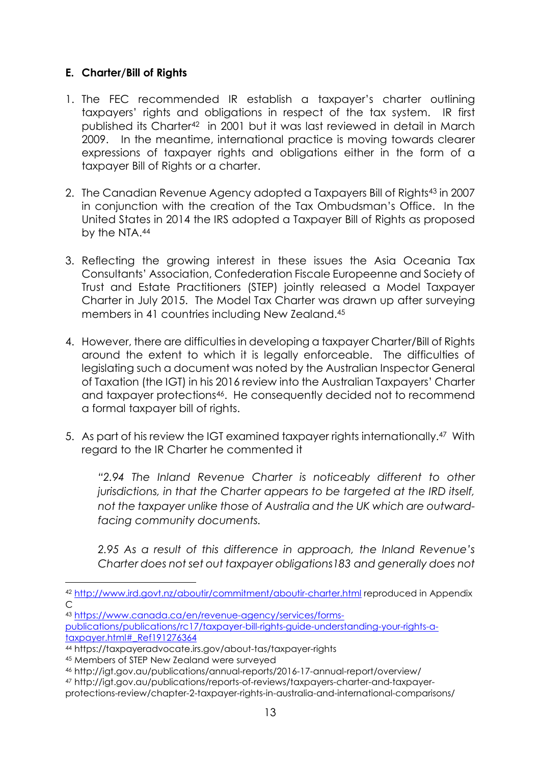#### **E. Charter/Bill of Rights**

- 1. The FEC recommended IR establish a taxpayer's charter outlining taxpayers' rights and obligations in respect of the tax system. IR first published its Charter42 in 2001 but it was last reviewed in detail in March 2009. In the meantime, international practice is moving towards clearer expressions of taxpayer rights and obligations either in the form of a taxpayer Bill of Rights or a charter.
- 2. The Canadian Revenue Agency adopted a Taxpayers Bill of Rights<sup>43</sup> in 2007 in conjunction with the creation of the Tax Ombudsman's Office. In the United States in 2014 the IRS adopted a Taxpayer Bill of Rights as proposed by the NTA.44
- 3. Reflecting the growing interest in these issues the Asia Oceania Tax Consultants' Association, Confederation Fiscale Europeenne and Society of Trust and Estate Practitioners (STEP) jointly released a Model Taxpayer Charter in July 2015. The Model Tax Charter was drawn up after surveying members in 41 countries including New Zealand.45
- 4. However, there are difficulties in developing a taxpayer Charter/Bill of Rights around the extent to which it is legally enforceable. The difficulties of legislating such a document was noted by the Australian Inspector General of Taxation (the IGT) in his 2016 review into the Australian Taxpayers' Charter and taxpayer protections<sup>46</sup>. He consequently decided not to recommend a formal taxpayer bill of rights.
- 5. As part of his review the IGT examined taxpayer rights internationally.47 With regard to the IR Charter he commented it

*"2.94 The Inland Revenue Charter is noticeably different to other jurisdictions, in that the Charter appears to be targeted at the IRD itself, not the taxpayer unlike those of Australia and the UK which are outwardfacing community documents.* 

*2.95 As a result of this difference in approach, the Inland Revenue's Charter does not set out taxpayer obligations183 and generally does not* 

l

47 http://igt.gov.au/publications/reports-of-reviews/taxpayers-charter-and-taxpayerprotections-review/chapter-2-taxpayer-rights-in-australia-and-international-comparisons/

<sup>42</sup> http://www.ird.govt.nz/aboutir/commitment/aboutir-charter.html reproduced in Appendix  $\overline{C}$ 

<sup>43</sup> https://www.canada.ca/en/revenue-agency/services/forms-

publications/publications/rc17/taxpayer-bill-rights-guide-understanding-your-rights-ataxpayer.html#\_Ref191276364 44 https://taxpayeradvocate.irs.gov/about-tas/taxpayer-rights

<sup>45</sup> Members of STEP New Zealand were surveyed

<sup>46</sup> http://igt.gov.au/publications/annual-reports/2016-17-annual-report/overview/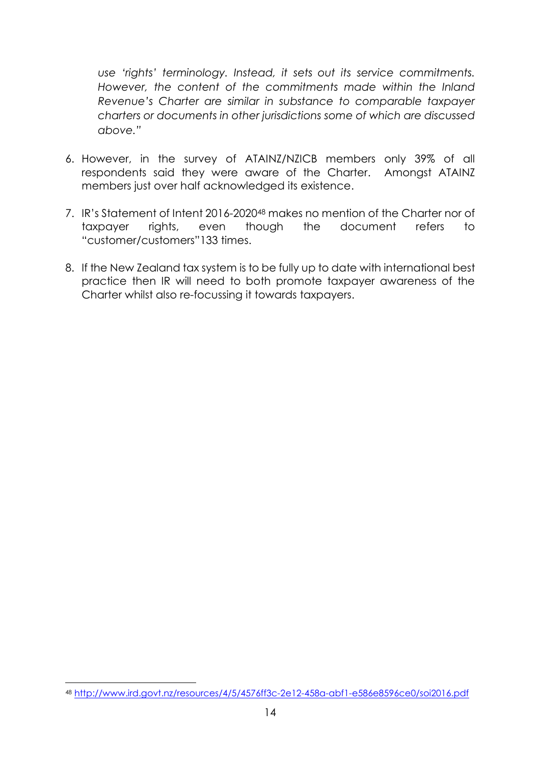*use 'rights' terminology. Instead, it sets out its service commitments. However, the content of the commitments made within the Inland Revenue's Charter are similar in substance to comparable taxpayer charters or documents in other jurisdictions some of which are discussed above."* 

- 6. However, in the survey of ATAINZ/NZICB members only 39% of all respondents said they were aware of the Charter. Amongst ATAINZ members just over half acknowledged its existence.
- 7. IR's Statement of Intent 2016-202048 makes no mention of the Charter nor of taxpayer rights, even though the document refers to "customer/customers"133 times.
- 8. If the New Zealand tax system is to be fully up to date with international best practice then IR will need to both promote taxpayer awareness of the Charter whilst also re-focussing it towards taxpayers.

 $\overline{a}$ <sup>48</sup> http://www.ird.govt.nz/resources/4/5/4576ff3c-2e12-458a-abf1-e586e8596ce0/soi2016.pdf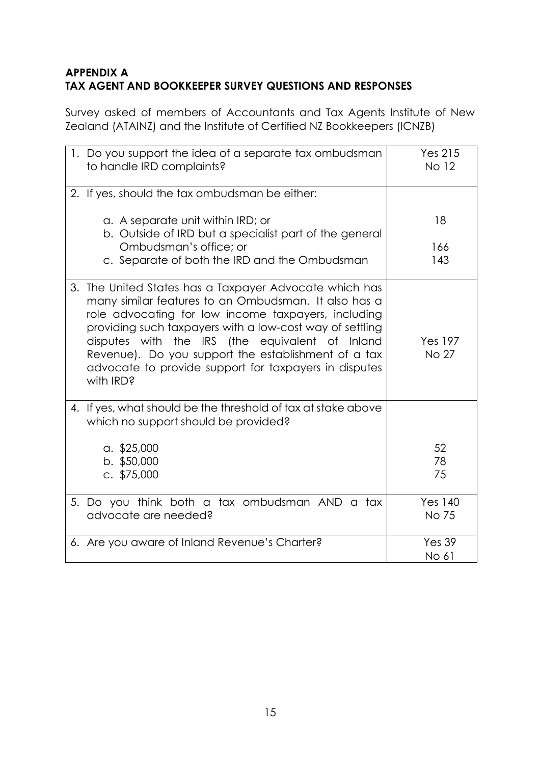## **APPENDIX A TAX AGENT AND BOOKKEEPER SURVEY QUESTIONS AND RESPONSES**

Survey asked of members of Accountants and Tax Agents Institute of New Zealand (ATAINZ) and the Institute of Certified NZ Bookkeepers (ICNZB)

| 1. Do you support the idea of a separate tax ombudsman<br>to handle IRD complaints?                                                                                                                                                                                                                                                                                                                               | <b>Yes 215</b><br>No 12        |
|-------------------------------------------------------------------------------------------------------------------------------------------------------------------------------------------------------------------------------------------------------------------------------------------------------------------------------------------------------------------------------------------------------------------|--------------------------------|
| 2. If yes, should the tax ombudsman be either:                                                                                                                                                                                                                                                                                                                                                                    |                                |
| a. A separate unit within IRD; or<br>b. Outside of IRD but a specialist part of the general                                                                                                                                                                                                                                                                                                                       | 18                             |
| Ombudsman's office; or<br>c. Separate of both the IRD and the Ombudsman                                                                                                                                                                                                                                                                                                                                           | 166<br>143                     |
| 3. The United States has a Taxpayer Advocate which has<br>many similar features to an Ombudsman. It also has a<br>role advocating for low income taxpayers, including<br>providing such taxpayers with a low-cost way of settling<br>disputes with the IRS (the equivalent of Inland<br>Revenue). Do you support the establishment of a tax<br>advocate to provide support for taxpayers in disputes<br>with IRD? | <b>Yes 197</b><br>No 27        |
| 4. If yes, what should be the threshold of tax at stake above<br>which no support should be provided?                                                                                                                                                                                                                                                                                                             |                                |
| a. \$25,000<br>$b.$ \$50,000<br>c. $$75,000$                                                                                                                                                                                                                                                                                                                                                                      | 52<br>78<br>75                 |
| 5. Do you think both a tax ombudsman AND a tax<br>advocate are needed?                                                                                                                                                                                                                                                                                                                                            | <b>Yes 140</b><br><b>No 75</b> |
| 6. Are you aware of Inland Revenue's Charter?                                                                                                                                                                                                                                                                                                                                                                     | <b>Yes 39</b><br>No 61         |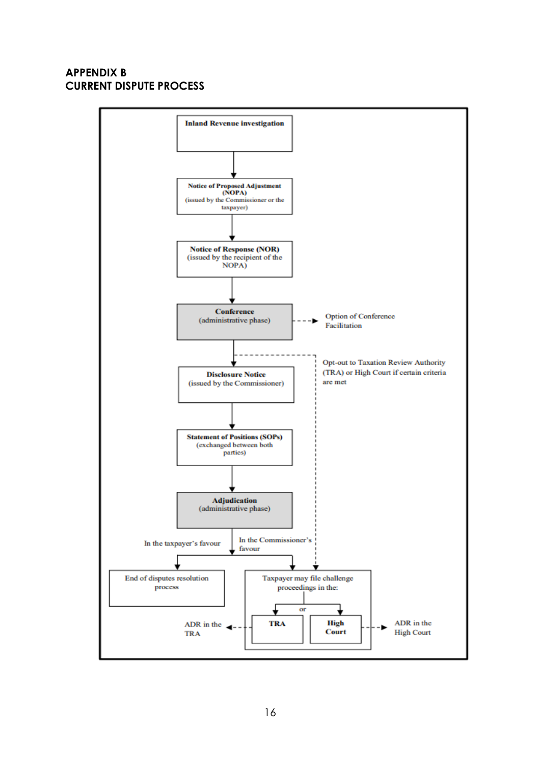#### **APPENDIX B CURRENT DISPUTE PROCESS**